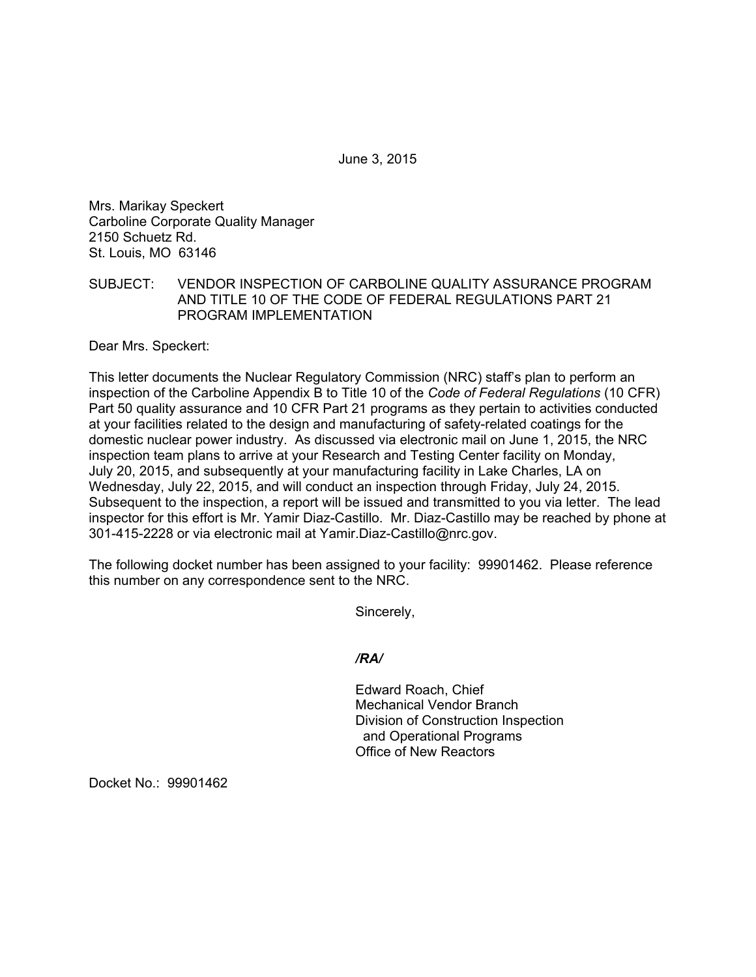June 3, 2015

Mrs. Marikay Speckert Carboline Corporate Quality Manager 2150 Schuetz Rd. St. Louis, MO 63146

## SUBJECT: VENDOR INSPECTION OF CARBOLINE QUALITY ASSURANCE PROGRAM AND TITLE 10 OF THE CODE OF FEDERAL REGULATIONS PART 21 PROGRAM IMPLEMENTATION

Dear Mrs. Speckert:

This letter documents the Nuclear Regulatory Commission (NRC) staff's plan to perform an inspection of the Carboline Appendix B to Title 10 of the *Code of Federal Regulations* (10 CFR) Part 50 quality assurance and 10 CFR Part 21 programs as they pertain to activities conducted at your facilities related to the design and manufacturing of safety-related coatings for the domestic nuclear power industry. As discussed via electronic mail on June 1, 2015, the NRC inspection team plans to arrive at your Research and Testing Center facility on Monday, July 20, 2015, and subsequently at your manufacturing facility in Lake Charles, LA on Wednesday, July 22, 2015, and will conduct an inspection through Friday, July 24, 2015. Subsequent to the inspection, a report will be issued and transmitted to you via letter. The lead inspector for this effort is Mr. Yamir Diaz-Castillo. Mr. Diaz-Castillo may be reached by phone at 301-415-2228 or via electronic mail at Yamir.Diaz-Castillo@nrc.gov.

The following docket number has been assigned to your facility: 99901462. Please reference this number on any correspondence sent to the NRC.

Sincerely,

*/RA/* 

Edward Roach, Chief Mechanical Vendor Branch Division of Construction Inspection and Operational Programs Office of New Reactors

Docket No.: 99901462